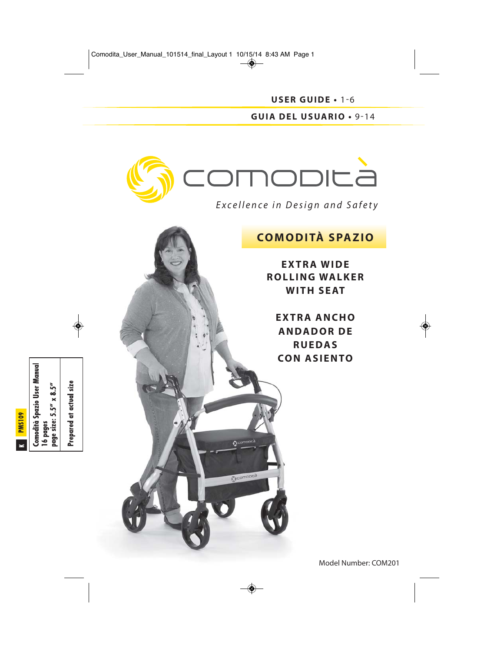**USER GUIDE •** 1-6 **GUIA DEL USUARIO •** 9-14



**Q** comporta

## **COMODITÀ SPAZIO**

**EXTRA WIDE ROLLING WALKER WITH SEAT**

**EXTRA ANCHO ANDADOR DE RUEDAS CON ASIENTO**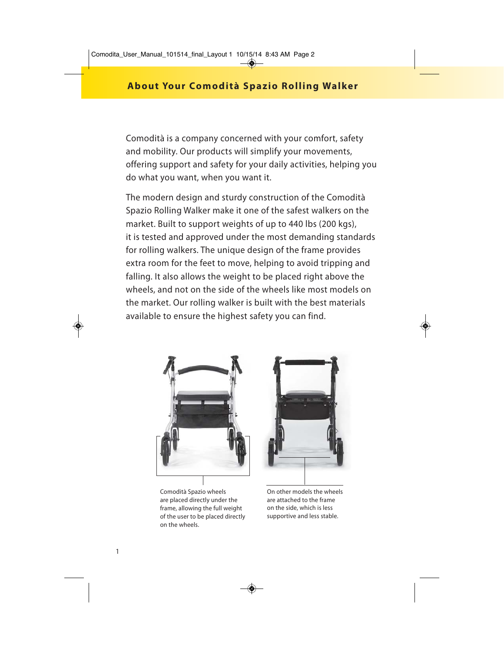Comodità is a company concerned with your comfort, safety and mobility. Our products will simplify your movements, offering support and safety for your daily activities, helping you do what you want, when you want it.

The modern design and sturdy construction of the Comodità Spazio Rolling Walker make it one of the safest walkers on the market. Built to support weights of up to 440 lbs (200 kgs), it is tested and approved under the most demanding standards for rolling walkers. The unique design of the frame provides extra room for the feet to move, helping to avoid tripping and falling. It also allows the weight to be placed right above the wheels, and not on the side of the wheels like most models on the market. Our rolling walker is built with the best materials available to ensure the highest safety you can find.



Comodità Spazio wheels are placed directly under the frame, allowing the full weight of the user to be placed directly on the wheels.



On other models the wheels are attached to the frame on the side, which is less supportive and less stable.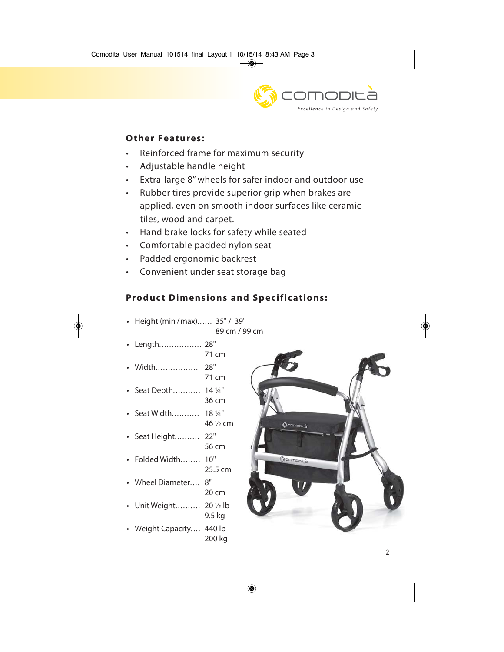

## **Other Features:**

- Reinforced frame for maximum security
- Adjustable handle height
- Extra-large 8" wheels for safer indoor and outdoor use
- Rubber tires provide superior grip when brakes are applied, even on smooth indoor surfaces like ceramic tiles, wood and carpet.
- Hand brake locks for safety while seated
- Comfortable padded nylon seat
- Padded ergonomic backrest
- Convenient under seat storage bag

# **Product Dimensions and Specifications:**

- Height (min /max)...... 35" / 39"
	- 89 cm / 99 cm

71 cm

36 cm

- Length................. 28" 71 cm
- Width................. 28"
- Seat Depth........... 14 ¼"
- Seat Width........... 18 ¼" 46 ½ cm
- Seat Height.......... 22" 56 cm
- Folded Width........ 10" 25.5 cm
- Wheel Diameter.... 8" 20 cm
- Unit Weight.......... 20 ½ lb 9.5 kg
- Weight Capacity.... 440 lb 200 kg

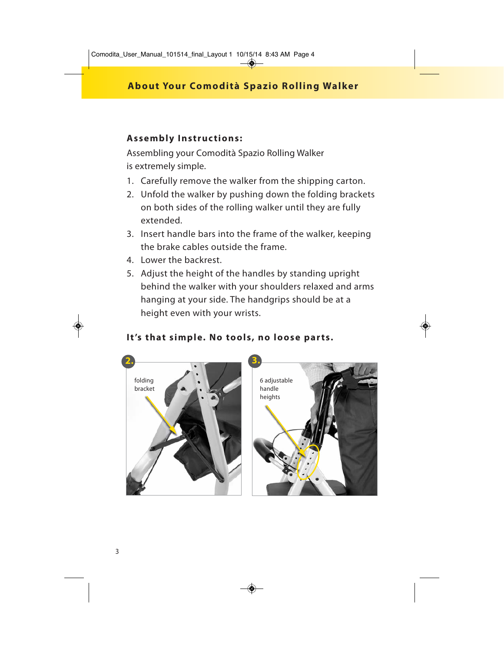## **Assembly Instructions:**

Assembling your Comodità Spazio Rolling Walker is extremely simple.

- 1. Carefully remove the walker from the shipping carton.
- 2. Unfold the walker by pushing down the folding brackets on both sides of the rolling walker until they are fully extended.
- 3. Insert handle bars into the frame of the walker, keeping the brake cables outside the frame.
- 4. Lower the backrest.
- 5. Adjust the height of the handles by standing upright behind the walker with your shoulders relaxed and arms hanging at your side. The handgrips should be at a height even with your wrists.

## It's that simple. No tools, no loose parts.

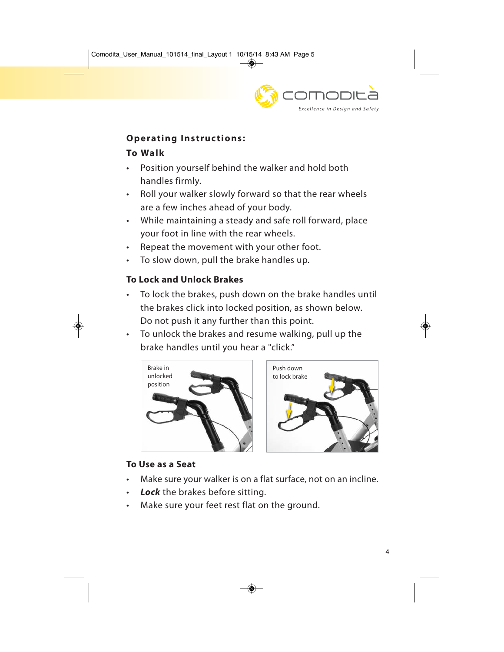

## **Operating Instructions:**

## **To Walk**

- Position yourself behind the walker and hold both handles firmly.
- Roll your walker slowly forward so that the rear wheels are a few inches ahead of your body.
- While maintaining a steady and safe roll forward, place your foot in line with the rear wheels.
- Repeat the movement with your other foot.
- To slow down, pull the brake handles up.

## **To Lock and Unlock Brakes**

- To lock the brakes, push down on the brake handles until the brakes click into locked position, as shown below. Do not push it any further than this point.
- To unlock the brakes and resume walking, pull up the brake handles until you hear a "click."





## **To Use as a Seat**

- Make sure your walker is on a flat surface, not on an incline.
- Lock the brakes before sitting.
- Make sure your feet rest flat on the ground.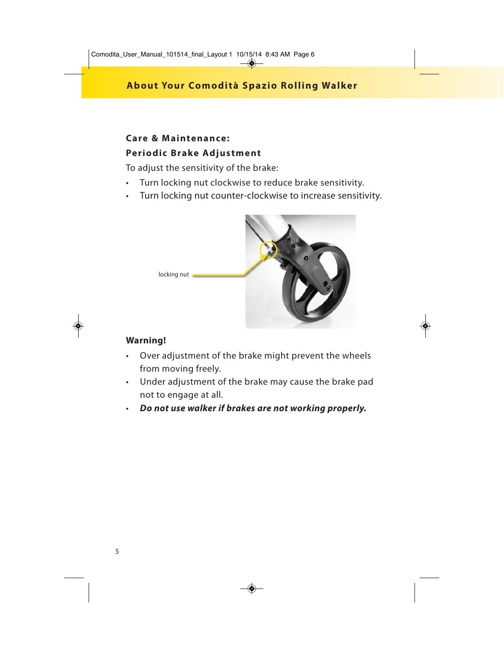## **Care & Maintenance: Periodic Brake Adjustment**

To adjust the sensitivity of the brake:

- Turn locking nut clockwise to reduce brake sensitivity.
- Turn locking nut counter-clockwise to increase sensitivity.



#### **Warning!**

- Over adjustment of the brake might prevent the wheels from moving freely.
- Under adjustment of the brake may cause the brake pad not to engage at all.
- *Do not use walker if brakes are not working properly.*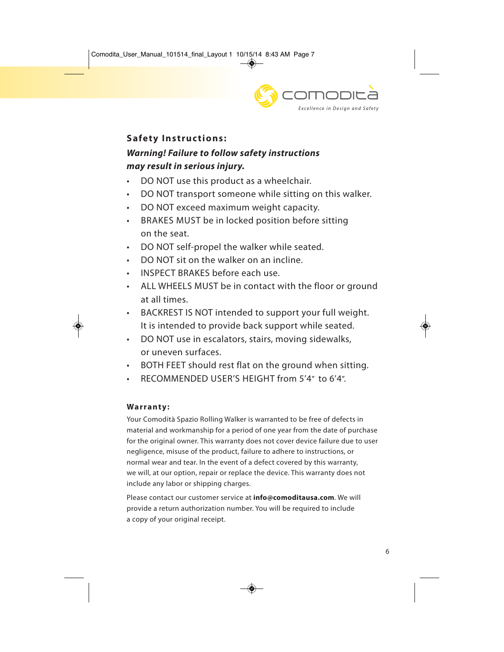

## **Safety Instructions:**

# *Warning! Failure to follow safety instructions may result in serious injury.*

- DO NOT use this product as a wheelchair.
- DO NOT transport someone while sitting on this walker.
- DO NOT exceed maximum weight capacity.
- BRAKES MUST be in locked position before sitting on the seat.
- DO NOT self-propel the walker while seated.
- DO NOT sit on the walker on an incline.
- INSPECT BRAKES before each use.
- ALL WHEELS MUST be in contact with the floor or ground at all times.
- BACKREST IS NOT intended to support your full weight. It is intended to provide back support while seated.
- DO NOT use in escalators, stairs, moving sidewalks, or uneven surfaces.
- BOTH FEET should rest flat on the ground when sitting.
- RECOMMENDED USER'S HEIGHT from 5'4" to 6'4".

#### **Warranty:**

Your Comodità Spazio Rolling Walker is warranted to be free of defects in material and workmanship for a period of one year from the date of purchase for the original owner. This warranty does not cover device failure due to user negligence, misuse of the product, failure to adhere to instructions, or normal wear and tear. In the event of a defect covered by this warranty, we will, at our option, repair or replace the device. This warranty does not include any labor or shipping charges.

Please contact our customer service at **info@comoditausa.com**. We will provide a return authorization number. You will be required to include a copy of your original receipt.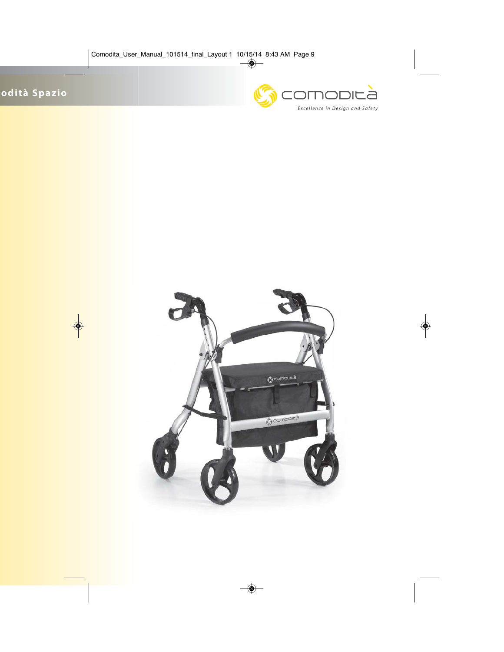

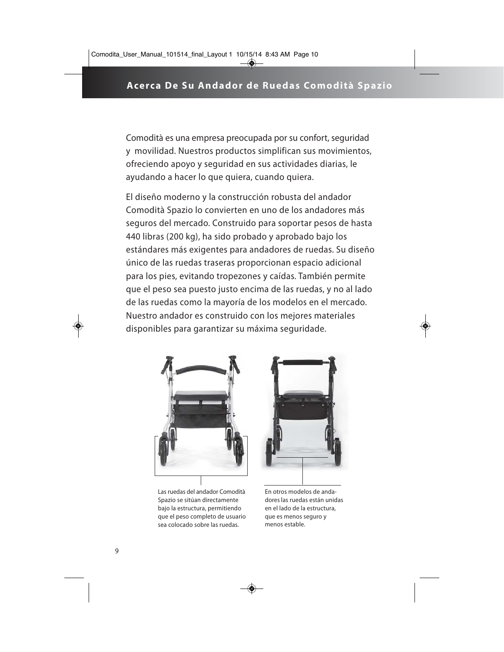Comodità es una empresa preocupada por su confort, seguridad y movilidad. Nuestros productos simplifican sus movimientos, ofreciendo apoyo y seguridad en sus actividades diarias, le ayudando a hacer lo que quiera, cuando quiera.

El diseño moderno y la construcción robusta del andador Comodità Spazio lo convierten en uno de los andadores más seguros del mercado. Construido para soportar pesos de hasta 440 libras (200 kg), ha sido probado y aprobado bajo los estándares más exigentes para andadores de ruedas. Su diseño único de las ruedas traseras proporcionan espacio adicional para los pies, evitando tropezones y caídas. También permite que el peso sea puesto justo encima de las ruedas, y no al lado de las ruedas como la mayoría de los modelos en el mercado. Nuestro andador es construido con los mejores materiales disponibles para garantizar su máxima seguridade.



Las ruedas del andador Comodità Spazio se sitúan directamente bajo la estructura, permitiendo que el peso completo de usuario sea colocado sobre las ruedas.



En otros modelos de andadores las ruedas están unidas en el lado de la estructura, que es menos seguro y menos estable.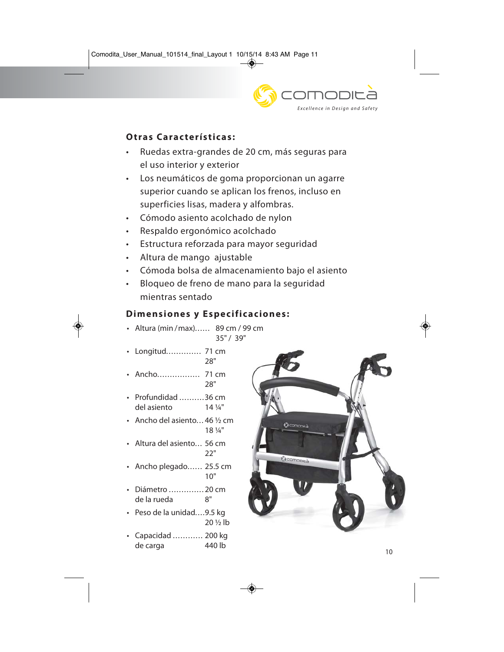

## **Otras Características:**

- Ruedas extra-grandes de 20 cm, más seguras para el uso interior y exterior
- Los neumáticos de goma proporcionan un agarre superior cuando se aplican los frenos, incluso en superficies lisas, madera y alfombras.
- Cómodo asiento acolchado de nylon
- Respaldo ergonómico acolchado
- Estructura reforzada para mayor seguridad
- Altura de mango ajustable
- Cómoda bolsa de almacenamiento bajo el asiento
- Bloqueo de freno de mano para la seguridad mientras sentado

#### **Dimensiones y Especificaciones:**

28"

- Altura (min /max)...... 89 cm / 99 cm 35" / 39"
- Longitud.............. 71 cm
- Ancho................. 71 cm 28"
- Profundidad ..........36 cm del asiento 14 ¼"
- Ancho del asiento... 46 ½ cm 18 ¼"
- Altura del asiento 56 cm 22"
- Ancho plegado...... 25.5 cm 10"
- Diámetro .............. 20 cm de la rueda 8"
- Peso de la unidad....9.5 kg 20 ½ lb
- Capacidad ............ 200 kg de carga 440 lb

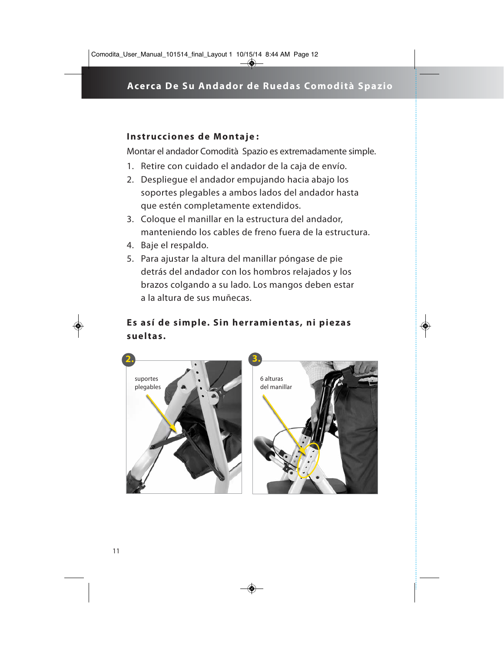#### **Instrucciones de Montaje :**

Montar el andador Comodità Spazio es extremadamente simple.

- 1. Retire con cuidado el andador de la caja de envío.
- 2. Despliegue el andador empujando hacia abajo los soportes plegables a ambos lados del andador hasta que estén completamente extendidos.
- 3. Coloque el manillar en la estructura del andador, manteniendo los cables de freno fuera de la estructura.
- 4. Baje el respaldo.
- 5. Para ajustar la altura del manillar póngase de pie detrás del andador con los hombros relajados y los brazos colgando a su lado. Los mangos deben estar a la altura de sus muñecas.

## **Es así de simple. Sin herramientas, ni piezas sueltas.**



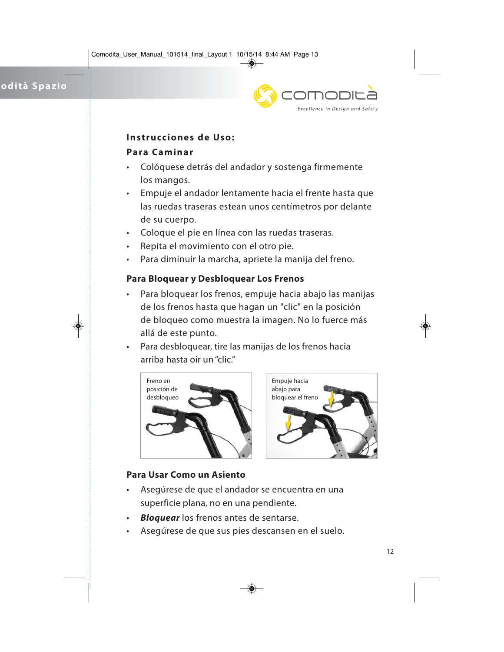

#### **Instrucciones de Uso:**

#### **Para Caminar**

- Colóquese detrás del andador y sostenga firmemente los mangos.
- Empuje el andador lentamente hacia el frente hasta que las ruedas traseras estean unos centímetros por delante de su cuerpo.
- Coloque el pie en línea con las ruedas traseras.
- Repita el movimiento con el otro pie.
- Para diminuir la marcha, apriete la manija del freno.

#### **Para Bloquear y Desbloquear Los Frenos**

- Para bloquear los frenos, empuje hacia abajo las manijas de los frenos hasta que hagan un "clic" en la posición de bloqueo como muestra la imagen. No lo fuerce más allá de este punto.
- Para desbloquear, tire las manijas de los frenos hacia arriba hasta oir un "clic."





#### **Para Usar Como un Asiento**

- Asegúrese de que el andador se encuentra en una superficie plana, no en una pendiente.
- *Bloquear* los frenos antes de sentarse.
- Asegúrese de que sus pies descansen en el suelo.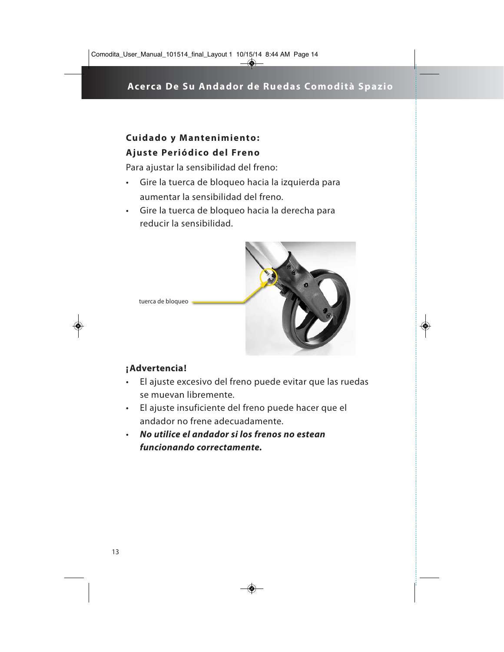# **Cuidado y Mantenimiento: Ajuste Periódico del Freno**

Para ajustar la sensibilidad del freno:

- Gire la tuerca de bloqueo hacia la izquierda para aumentar la sensibilidad del freno.
- Gire la tuerca de bloqueo hacia la derecha para reducir la sensibilidad.



- **¡ Advertencia!**
- El ajuste excesivo del freno puede evitar que las ruedas se muevan libremente.
- El ajuste insuficiente del freno puede hacer que el andador no frene adecuadamente.
- *No utilice el andador si los frenos no estean funcionando correctamente.*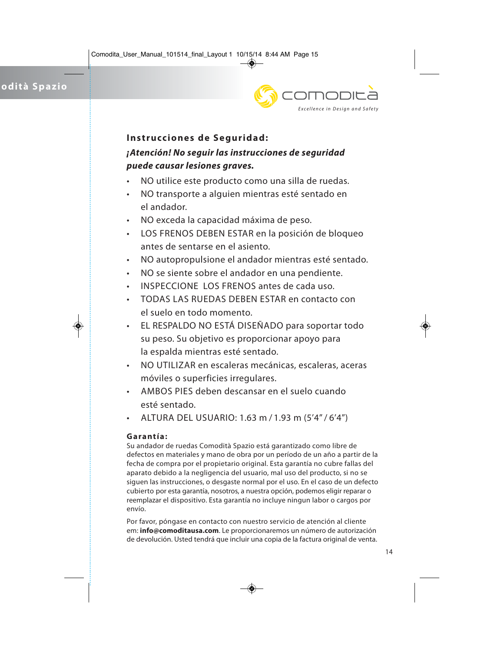

#### **Instrucciones de Seguridad:**

# *¡Atención! No seguir las instrucciones de seguridad puede causar lesiones graves.*

- NO utilice este producto como una silla de ruedas.
- NO transporte a alguien mientras esté sentado en el andador.
- NO exceda la capacidad máxima de peso.
- LOS FRENOS DEBEN ESTAR en la posición de bloqueo antes de sentarse en el asiento.
- NO autopropulsione el andador mientras esté sentado.
- NO se siente sobre el andador en una pendiente.
- INSPECCIONE LOS FRENOS antes de cada uso.
- TODAS LAS RUEDAS DEBEN ESTAR en contacto con el suelo en todo momento.
- EL RESPALDO NO ESTÁ DISEÑADO para soportar todo su peso. Su objetivo es proporcionar apoyo para la espalda mientras esté sentado.
- NO UTILIZAR en escaleras mecánicas, escaleras, aceras móviles o superficies irregulares.
- AMBOS PIES deben descansar en el suelo cuando esté sentado.
- ALTURA DEL USUARIO: 1.63 m / 1.93 m (5'4" / 6'4")

#### **Garantía:**

Su andador de ruedas Comodità Spazio está garantizado como libre de defectos en materiales y mano de obra por un período de un año a partir de la fecha de compra por el propietario original. Esta garantía no cubre fallas del aparato debido a la negligencia del usuario, mal uso del producto, si no se siguen las instrucciones, o desgaste normal por el uso. En el caso de un defecto cubierto por esta garantía, nosotros, a nuestra opción, podemos eligir reparar o reemplazar el dispositivo. Esta garantía no incluye ningun labor o cargos por envío.

Por favor, póngase en contacto con nuestro servicio de atención al cliente em: **info@comoditausa.com**. Le proporcionaremos un número de autorización de devolución. Usted tendrá que incluir una copia de la factura original de venta.